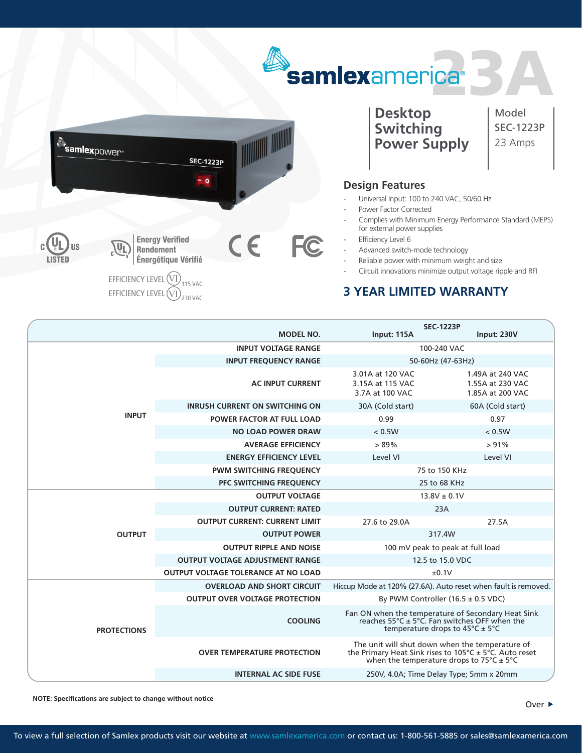



**Desktop Switching Power Supply** Model SEC-1223P 23 Amps

## **Design Features**

- Universal Input: 100 to 240 VAC, 50/60 Hz
- Power Factor Corrected
- Complies with Minimum Energy Performance Standard (MEPS) for external power supplies
- Efficiency Level 6
- Advanced switch-mode technology
- Reliable power with minimum weight and size
- Circuit innovations minimize output voltage ripple and RFI

## **3 YEAR LIMITED WARRANTY**

|                    | <b>MODEL NO.</b>                           | Input: 115A                                                                                                                                                                         | <b>SEC-1223P</b><br>Input: 230V                          |
|--------------------|--------------------------------------------|-------------------------------------------------------------------------------------------------------------------------------------------------------------------------------------|----------------------------------------------------------|
| <b>INPUT</b>       | <b>INPUT VOLTAGE RANGE</b>                 | 100-240 VAC                                                                                                                                                                         |                                                          |
|                    | <b>INPUT FREQUENCY RANGE</b>               | 50-60Hz (47-63Hz)                                                                                                                                                                   |                                                          |
|                    | <b>AC INPUT CURRENT</b>                    | 3.01A at 120 VAC<br>3.15A at 115 VAC<br>3.7A at 100 VAC                                                                                                                             | 1.49A at 240 VAC<br>1.55A at 230 VAC<br>1.85A at 200 VAC |
|                    | <b>INRUSH CURRENT ON SWITCHING ON</b>      | 30A (Cold start)                                                                                                                                                                    | 60A (Cold start)                                         |
|                    | <b>POWER FACTOR AT FULL LOAD</b>           | 0.99                                                                                                                                                                                | 0.97                                                     |
|                    | <b>NO LOAD POWER DRAW</b>                  | < 0.5W                                                                                                                                                                              | < 0.5W                                                   |
|                    | <b>AVERAGE EFFICIENCY</b>                  | >89%                                                                                                                                                                                | $> 91\%$                                                 |
|                    | <b>ENERGY EFFICIENCY LEVEL</b>             | Level VI                                                                                                                                                                            | Level VI                                                 |
|                    | <b>PWM SWITCHING FREQUENCY</b>             | 75 to 150 KHz                                                                                                                                                                       |                                                          |
|                    | PFC SWITCHING FREQUENCY                    | 25 to 68 KHz                                                                                                                                                                        |                                                          |
| <b>OUTPUT</b>      | <b>OUTPUT VOLTAGE</b>                      | $13.8V \pm 0.1V$                                                                                                                                                                    |                                                          |
|                    | <b>OUTPUT CURRENT: RATED</b>               | 23A                                                                                                                                                                                 |                                                          |
|                    | <b>OUTPUT CURRENT: CURRENT LIMIT</b>       | 27.6 to 29.0A                                                                                                                                                                       | 27.5A                                                    |
|                    | <b>OUTPUT POWER</b>                        | 317.4W                                                                                                                                                                              |                                                          |
|                    | <b>OUTPUT RIPPLE AND NOISE</b>             | 100 mV peak to peak at full load                                                                                                                                                    |                                                          |
|                    | <b>OUTPUT VOLTAGE ADJUSTMENT RANGE</b>     | 12.5 to 15.0 VDC                                                                                                                                                                    |                                                          |
|                    | <b>OUTPUT VOLTAGE TOLERANCE AT NO LOAD</b> | ±0.1V                                                                                                                                                                               |                                                          |
| <b>PROTECTIONS</b> | <b>OVERLOAD AND SHORT CIRCUIT</b>          | Hiccup Mode at 120% (27.6A). Auto reset when fault is removed.                                                                                                                      |                                                          |
|                    | <b>OUTPUT OVER VOLTAGE PROTECTION</b>      | By PWM Controller $(16.5 \pm 0.5 \text{ VDC})$                                                                                                                                      |                                                          |
|                    | <b>COOLING</b>                             | Fan ON when the temperature of Secondary Heat Sink<br>reaches $55^{\circ}$ C ± $5^{\circ}$ C. Fan switches OFF when the<br>temperature drops to $45^{\circ}$ C ± 5°C                |                                                          |
|                    | <b>OVER TEMPERATURE PROTECTION</b>         | The unit will shut down when the temperature of<br>the Primary Heat Sink rises to $105^{\circ}$ C ± 5°C. Auto reset<br>when the temperature drops to $75^{\circ}$ C ± $5^{\circ}$ C |                                                          |
|                    | <b>INTERNAL AC SIDE FUSE</b>               |                                                                                                                                                                                     | 250V, 4.0A; Time Delay Type; 5mm x 20mm                  |

**NOTE: Specifications are subject to change without notice**